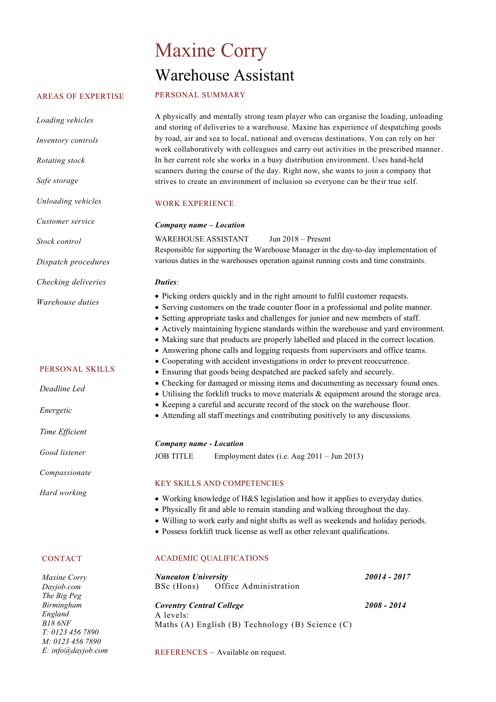# Maxine Corry Warehouse Assistant

#### AREAS OF EXPERTISE

*Loading vehicles* 

*Inventory controls*

*Unloading vehicles*

*Customer service*

*Rotating stock*

*Safe storage* 

A physically and mentally strong team player who can organise the loading, unloading and storing of deliveries to a warehouse. Maxine has experience of despatching goods by road, air and sea to local, national and overseas destinations. You can rely on her work collaboratively with colleagues and carry out activities in the prescribed manner. In her current role she works in a busy distribution environment. Uses hand-held scanners during the course of the day. Right now, she wants to join a company that strives to create an environment of inclusion so everyone can be their true self.

#### WORK EXPERIENCE

| Customer service                          | Company name - Location                                                                                                                                                                                                                                                                                                                                                                                                                                                                                                                                                                                                                                                                                                                                                                                                                                                    |              |
|-------------------------------------------|----------------------------------------------------------------------------------------------------------------------------------------------------------------------------------------------------------------------------------------------------------------------------------------------------------------------------------------------------------------------------------------------------------------------------------------------------------------------------------------------------------------------------------------------------------------------------------------------------------------------------------------------------------------------------------------------------------------------------------------------------------------------------------------------------------------------------------------------------------------------------|--------------|
| Stock control                             | <b>WAREHOUSE ASSISTANT</b><br>Jun $2018$ – Present                                                                                                                                                                                                                                                                                                                                                                                                                                                                                                                                                                                                                                                                                                                                                                                                                         |              |
| Dispatch procedures                       | Responsible for supporting the Warehouse Manager in the day-to-day implementation of<br>various duties in the warehouses operation against running costs and time constraints.                                                                                                                                                                                                                                                                                                                                                                                                                                                                                                                                                                                                                                                                                             |              |
| Checking deliveries                       | Duties:                                                                                                                                                                                                                                                                                                                                                                                                                                                                                                                                                                                                                                                                                                                                                                                                                                                                    |              |
| Warehouse duties                          | • Picking orders quickly and in the right amount to fulfil customer requests.<br>• Serving customers on the trade counter floor in a professional and polite manner.<br>• Setting appropriate tasks and challenges for junior and new members of staff.<br>• Actively maintaining hygiene standards within the warehouse and yard environment.<br>• Making sure that products are properly labelled and placed in the correct location.<br>• Answering phone calls and logging requests from supervisors and office teams.<br>• Cooperating with accident investigations in order to prevent reoccurrence.<br>• Ensuring that goods being despatched are packed safely and securely.<br>• Checking for damaged or missing items and documenting as necessary found ones.<br>$\bullet$ Utilising the forklift trucks to move materials & equipment around the storage area. |              |
| PERSONAL SKILLS                           |                                                                                                                                                                                                                                                                                                                                                                                                                                                                                                                                                                                                                                                                                                                                                                                                                                                                            |              |
| Deadline Led                              |                                                                                                                                                                                                                                                                                                                                                                                                                                                                                                                                                                                                                                                                                                                                                                                                                                                                            |              |
| Energetic                                 | • Keeping a careful and accurate record of the stock on the warehouse floor.<br>• Attending all staff meetings and contributing positively to any discussions.                                                                                                                                                                                                                                                                                                                                                                                                                                                                                                                                                                                                                                                                                                             |              |
| Time Efficient                            |                                                                                                                                                                                                                                                                                                                                                                                                                                                                                                                                                                                                                                                                                                                                                                                                                                                                            |              |
| Good listener                             | Company name - Location<br><b>JOB TITLE</b><br>Employment dates (i.e. Aug $2011 - \text{Jun } 2013$ )                                                                                                                                                                                                                                                                                                                                                                                                                                                                                                                                                                                                                                                                                                                                                                      |              |
| Compassionate                             |                                                                                                                                                                                                                                                                                                                                                                                                                                                                                                                                                                                                                                                                                                                                                                                                                                                                            |              |
| Hard working                              | KEY SKILLS AND COMPETENCIES                                                                                                                                                                                                                                                                                                                                                                                                                                                                                                                                                                                                                                                                                                                                                                                                                                                |              |
|                                           | • Working knowledge of H&S legislation and how it applies to everyday duties.<br>• Physically fit and able to remain standing and walking throughout the day.<br>· Willing to work early and night shifts as well as weekends and holiday periods.<br>• Possess forklift truck license as well as other relevant qualifications.                                                                                                                                                                                                                                                                                                                                                                                                                                                                                                                                           |              |
| <b>CONTACT</b>                            | <b>ACADEMIC QUALIFICATIONS</b>                                                                                                                                                                                                                                                                                                                                                                                                                                                                                                                                                                                                                                                                                                                                                                                                                                             |              |
| Maxine Corry<br>Dayjob.com<br>The Big Peg | <b>Nuneaton University</b><br>Office Administration<br>BSc (Hons)                                                                                                                                                                                                                                                                                                                                                                                                                                                                                                                                                                                                                                                                                                                                                                                                          | 20014 - 2017 |

*Maxine Corry Dayjob.com The Big Peg Birmingham England B18 6NF T: 0123 456 7890 M: 0123 456 7890 E: info@dayjob.com*

### *Coventry Central College 2008 - 2014* A levels: Maths (A) English (B) Technology (B) Science (C)

REFERENCES – Available on request.

#### PERSONAL SKILL

- *Energetic*
- *Time Efficient*

## CONTACT